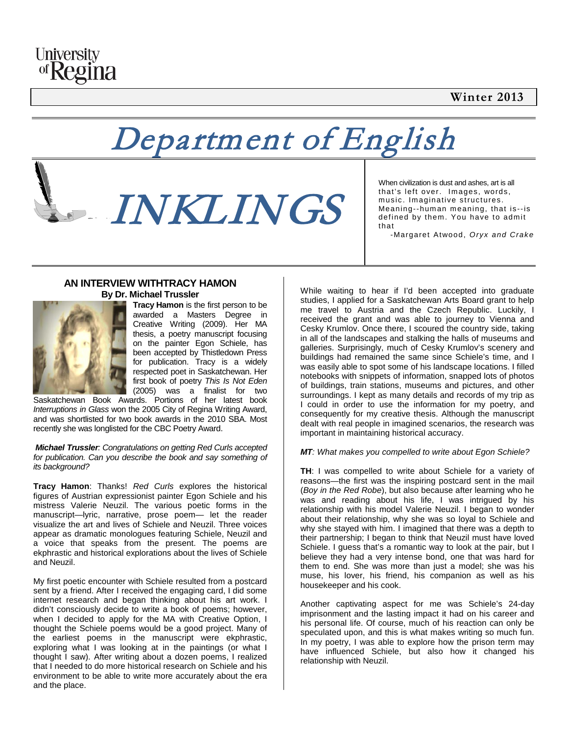### **Winter 2013**



## Department of English

# INKLINGS

When civilization is dust and ashes, art is all that's left over. Images, words, music. Imaginative structures. Meaning--human meaning, that is--is defined by them. You have to admit that

-Margaret Atwood, *Oryx and Crake*

#### **AN INTERVIEW WITHTRACY HAMON By Dr. Michael Trussler**



**Tracy Hamon** is the first person to be awarded a Masters Degree in Creative Writing (2009). Her MA thesis, a poetry manuscript focusing on the painter Egon Schiele, has been accepted by Thistledown Press for publication. Tracy is a widely respected poet in Saskatchewan. Her first book of poetry *This Is Not Eden* (2005) was a finalist for two

Saskatchewan Book Awards. Portions of her latest book *Interruptions in Glass* won the 2005 City of Regina Writing Award, and was shortlisted for two book awards in the 2010 SBA. Most recently she was longlisted for the CBC Poetry Award.

*Michael Trussler: Congratulations on getting Red Curls accepted for publication. Can you describe the book and say something of its background?*

**Tracy Hamon**: Thanks! *Red Curls* explores the historical figures of Austrian expressionist painter Egon Schiele and his mistress Valerie Neuzil. The various poetic forms in the manuscript—lyric, narrative, prose poem— let the reader visualize the art and lives of Schiele and Neuzil. Three voices appear as dramatic monologues featuring Schiele, Neuzil and a voice that speaks from the present. The poems are ekphrastic and historical explorations about the lives of Schiele and Neuzil.

My first poetic encounter with Schiele resulted from a postcard sent by a friend. After I received the engaging card, I did some internet research and began thinking about his art work. I didn't consciously decide to write a book of poems; however, when I decided to apply for the MA with Creative Option, I thought the Schiele poems would be a good project. Many of the earliest poems in the manuscript were ekphrastic, exploring what I was looking at in the paintings (or what I thought I saw). After writing about a dozen poems, I realized that I needed to do more historical research on Schiele and his environment to be able to write more accurately about the era and the place.

While waiting to hear if I'd been accepted into graduate studies, I applied for a Saskatchewan Arts Board grant to help me travel to Austria and the Czech Republic. Luckily, I received the grant and was able to journey to Vienna and Cesky Krumlov. Once there, I scoured the country side, taking in all of the landscapes and stalking the halls of museums and galleries. Surprisingly, much of Cesky Krumlov's scenery and buildings had remained the same since Schiele's time, and I was easily able to spot some of his landscape locations. I filled notebooks with snippets of information, snapped lots of photos of buildings, train stations, museums and pictures, and other surroundings. I kept as many details and records of my trip as I could in order to use the information for my poetry, and consequently for my creative thesis. Although the manuscript dealt with real people in imagined scenarios, the research was important in maintaining historical accuracy.

#### *MT: What makes you compelled to write about Egon Schiele?*

**TH**: I was compelled to write about Schiele for a variety of reasons—the first was the inspiring postcard sent in the mail (*Boy in the Red Robe*), but also because after learning who he was and reading about his life, I was intrigued by his relationship with his model Valerie Neuzil. I began to wonder about their relationship, why she was so loyal to Schiele and why she stayed with him. I imagined that there was a depth to their partnership; I began to think that Neuzil must have loved Schiele. I guess that's a romantic way to look at the pair, but I believe they had a very intense bond, one that was hard for them to end. She was more than just a model; she was his muse, his lover, his friend, his companion as well as his housekeeper and his cook.

Another captivating aspect for me was Schiele's 24-day imprisonment and the lasting impact it had on his career and his personal life. Of course, much of his reaction can only be speculated upon, and this is what makes writing so much fun. In my poetry, I was able to explore how the prison term may have influenced Schiele, but also how it changed his relationship with Neuzil.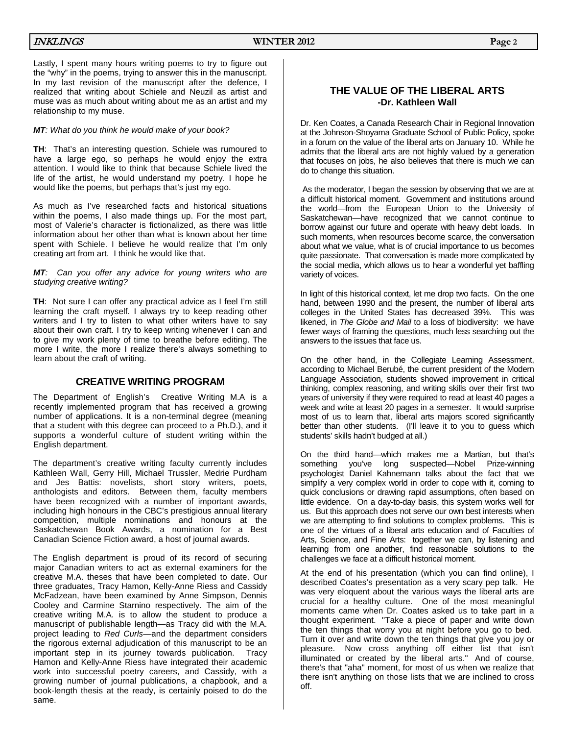Lastly, I spent many hours writing poems to try to figure out the "why" in the poems, trying to answer this in the manuscript. In my last revision of the manuscript after the defence, I realized that writing about Schiele and Neuzil as artist and muse was as much about writing about me as an artist and my relationship to my muse.

#### *MT: What do you think he would make of your book?*

**TH**: That's an interesting question. Schiele was rumoured to have a large ego, so perhaps he would enjoy the extra attention. I would like to think that because Schiele lived the life of the artist, he would understand my poetry. I hope he would like the poems, but perhaps that's just my ego.

As much as I've researched facts and historical situations within the poems, I also made things up. For the most part, most of Valerie's character is fictionalized, as there was little information about her other than what is known about her time spent with Schiele. I believe he would realize that I'm only creating art from art. I think he would like that.

*MT: Can you offer any advice for young writers who are studying creative writing?*

**TH**: Not sure I can offer any practical advice as I feel I'm still learning the craft myself. I always try to keep reading other writers and I try to listen to what other writers have to say about their own craft. I try to keep writing whenever I can and to give my work plenty of time to breathe before editing. The more I write, the more I realize there's always something to learn about the craft of writing.

#### **CREATIVE WRITING PROGRAM**

The Department of English's Creative Writing M.A is a recently implemented program that has received a growing number of applications. It is a non-terminal degree (meaning that a student with this degree can proceed to a Ph.D.), and it supports a wonderful culture of student writing within the English department.

The department's creative writing faculty currently includes Kathleen Wall, Gerry Hill, Michael Trussler, Medrie Purdham and Jes Battis: novelists, short story writers, poets, anthologists and editors. Between them, faculty members have been recognized with a number of important awards, including high honours in the CBC's prestigious annual literary competition, multiple nominations and honours at the Saskatchewan Book Awards, a nomination for a Best Canadian Science Fiction award, a host of journal awards.

The English department is proud of its record of securing major Canadian writers to act as external examiners for the creative M.A. theses that have been completed to date. Our three graduates, Tracy Hamon, Kelly-Anne Riess and Cassidy McFadzean, have been examined by Anne Simpson, Dennis Cooley and Carmine Starnino respectively. The aim of the creative writing M.A. is to allow the student to produce a manuscript of publishable length—as Tracy did with the M.A. project leading to *Red Curls—*and the department considers the rigorous external adjudication of this manuscript to be an important step in its journey towards publication. Tracy Hamon and Kelly-Anne Riess have integrated their academic work into successful poetry careers, and Cassidy, with a growing number of journal publications, a chapbook, and a book-length thesis at the ready, is certainly poised to do the same.

#### **THE VALUE OF THE LIBERAL ARTS -Dr. Kathleen Wall**

Dr. Ken Coates, a Canada Research Chair in Regional Innovation at the Johnson-Shoyama Graduate School of Public Policy, spoke in a forum on the value of the liberal arts on January 10. While he admits that the liberal arts are not highly valued by a generation that focuses on jobs, he also believes that there is much we can do to change this situation.

As the moderator, I began the session by observing that we are at a difficult historical moment. Government and institutions around the world—from the European Union to the University of Saskatchewan—have recognized that we cannot continue to borrow against our future and operate with heavy debt loads. In such moments, when resources become scarce, the conversation about what we value, what is of crucial importance to us becomes quite passionate. That conversation is made more complicated by the social media, which allows us to hear a wonderful yet baffling variety of voices.

In light of this historical context, let me drop two facts. On the one hand, between 1990 and the present, the number of liberal arts colleges in the United States has decreased 39%. This was likened, in *The Globe and Mail* to a loss of biodiversity: we have fewer ways of framing the questions, much less searching out the answers to the issues that face us.

On the other hand, in the Collegiate Learning Assessment, according to Michael Berubé, the current president of the Modern Language Association, students showed improvement in critical thinking, complex reasoning, and writing skills over their first two years of university if they were required to read at least 40 pages a week and write at least 20 pages in a semester. It would surprise most of us to learn that, liberal arts majors scored significantly better than other students. (I'll leave it to you to guess which students' skills hadn't budged at all.)

On the third hand—which makes me a Martian, but that's something you've long suspected—Nobel Prize-winning long suspected—Nobel Prize-winning psychologist Daniel Kahnemann talks about the fact that we simplify a very complex world in order to cope with it, coming to quick conclusions or drawing rapid assumptions, often based on little evidence. On a day-to-day basis, this system works well for us. But this approach does not serve our own best interests when we are attempting to find solutions to complex problems. This is one of the virtues of a liberal arts education and of Faculties of Arts, Science, and Fine Arts: together we can, by listening and learning from one another, find reasonable solutions to the challenges we face at a difficult historical moment.

At the end of his presentation (which you can find online), I described Coates's presentation as a very scary pep talk. He was very eloquent about the various ways the liberal arts are crucial for a healthy culture. One of the most meaningful moments came when Dr. Coates asked us to take part in a thought experiment. "Take a piece of paper and write down the ten things that worry you at night before you go to bed. Turn it over and write down the ten things that give you joy or pleasure. Now cross anything off either list that isn't illuminated or created by the liberal arts." And of course, there's that "aha" moment, for most of us when we realize that there isn't anything on those lists that we are inclined to cross off.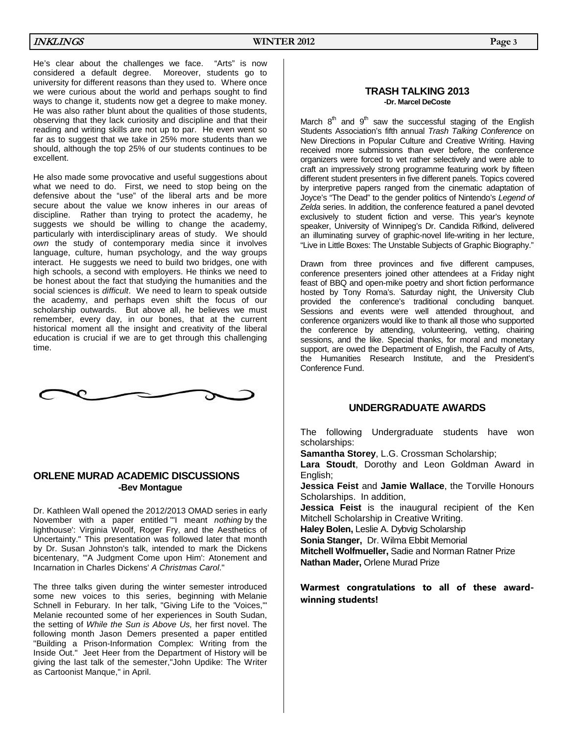He's clear about the challenges we face. "Arts" is now considered a default degree. Moreover, students go to university for different reasons than they used to. Where once we were curious about the world and perhaps sought to find ways to change it, students now get a degree to make money. He was also rather blunt about the qualities of those students, observing that they lack curiosity and discipline and that their reading and writing skills are not up to par. He even went so far as to suggest that we take in 25% more students than we should, although the top 25% of our students continues to be excellent.

He also made some provocative and useful suggestions about what we need to do. First, we need to stop being on the defensive about the "use" of the liberal arts and be more secure about the value we know inheres in our areas of discipline. Rather than trying to protect the academy, he suggests we should be willing to change the academy, particularly with interdisciplinary areas of study. We should *own* the study of contemporary media since it involves language, culture, human psychology, and the way groups interact. He suggests we need to build two bridges, one with high schools, a second with employers. He thinks we need to be honest about the fact that studying the humanities and the social sciences is *difficult*. We need to learn to speak outside the academy, and perhaps even shift the focus of our scholarship outwards. But above all, he believes we must remember, every day, in our bones, that at the current historical moment all the insight and creativity of the liberal education is crucial if we are to get through this challenging time.

$$
\sim\!\!\!\!\sim\!\!\!\sim
$$

#### **ORLENE MURAD ACADEMIC DISCUSSIONS -Bev Montague**

Dr. Kathleen Wall opened the 2012/2013 OMAD series in early November with a paper entitled "'I meant *nothing* by the lighthouse': Virginia Woolf, Roger Fry, and the Aesthetics of Uncertainty." This presentation was followed later that month by Dr. Susan Johnston's talk, intended to mark the Dickens bicentenary, "'A Judgment Come upon Him': Atonement and Incarnation in Charles Dickens' *A Christmas Carol*."

The three talks given during the winter semester introduced some new voices to this series, beginning with Melanie Schnell in Feburary. In her talk, "Giving Life to the 'Voices,'" Melanie recounted some of her experiences in South Sudan, the setting of *While the Sun is Above Us,* her first novel. The following month Jason Demers presented a paper entitled "Building a Prison-Information Complex: Writing from the Inside Out." Jeet Heer from the Department of History will be giving the last talk of the semester,"John Updike: The Writer as Cartoonist Manque," in April.

#### **TRASH TALKING 2013 -Dr. Marcel DeCoste**

March  $8<sup>th</sup>$  and  $9<sup>th</sup>$  saw the successful staging of the English Students Association's fifth annual *Trash Talking Conference* on New Directions in Popular Culture and Creative Writing. Having received more submissions than ever before, the conference organizers were forced to vet rather selectively and were able to craft an impressively strong programme featuring work by fifteen different student presenters in five different panels. Topics covered by interpretive papers ranged from the cinematic adaptation of Joyce's "The Dead" to the gender politics of Nintendo's *Legend of Zelda* series. In addition, the conference featured a panel devoted exclusively to student fiction and verse. This year's keynote speaker, University of Winnipeg's Dr. Candida Rifkind, delivered an illuminating survey of graphic-novel life-writing in her lecture, "Live in Little Boxes: The Unstable Subjects of Graphic Biography."

Drawn from three provinces and five different campuses, conference presenters joined other attendees at a Friday night feast of BBQ and open-mike poetry and short fiction performance hosted by Tony Roma's. Saturday night, the University Club provided the conference's traditional concluding banquet. Sessions and events were well attended throughout, and conference organizers would like to thank all those who supported the conference by attending, volunteering, vetting, chairing sessions, and the like. Special thanks, for moral and monetary support, are owed the Department of English, the Faculty of Arts, the Humanities Research Institute, and the President's Conference Fund.

#### **UNDERGRADUATE AWARDS**

The following Undergraduate students have won scholarships:

**Samantha Storey**, L.G. Crossman Scholarship;

**Lara Stoudt**, Dorothy and Leon Goldman Award in English;

**Jessica Feist** and **Jamie Wallace**, the Torville Honours Scholarships. In addition,

**Jessica Feist** is the inaugural recipient of the Ken Mitchell Scholarship in Creative Writing.

**Haley Bolen,** Leslie A. Dybvig Scholarship

**Sonia Stanger,** Dr. Wilma Ebbit Memorial

**Mitchell Wolfmueller,** Sadie and Norman Ratner Prize **Nathan Mader,** Orlene Murad Prize

#### **Warmest congratulations to all of these awardwinning students!**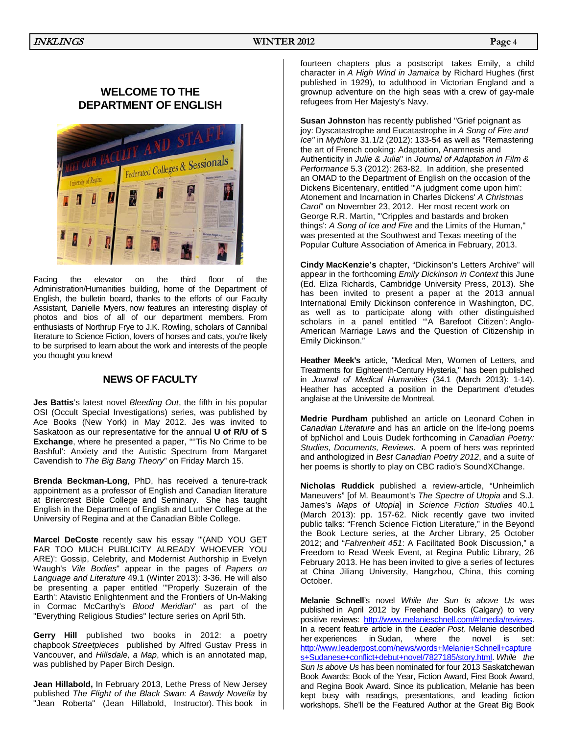#### **WELCOME TO THE DEPARTMENT OF ENGLISH**



Facing the elevator on the third floor of the Administration/Humanities building, home of the Department of English, the bulletin board, thanks to the efforts of our Faculty Assistant, Danielle Myers, now features an interesting display of photos and bios of all of our department members. From enthusiasts of Northrup Frye to J.K. Rowling, scholars of Cannibal literature to Science Fiction, lovers of horses and cats, you're likely to be surprised to learn about the work and interests of the people you thought you knew!

#### **NEWS OF FACULTY**

**Jes Battis**'s latest novel *Bleeding Out*, the fifth in his popular OSI (Occult Special Investigations) series, was published by Ace Books (New York) in May 2012. Jes was invited to Saskatoon as our representative for the annual **U of R/U of S Exchange**, where he presented a paper, '"'Tis No Crime to be Bashful': Anxiety and the Autistic Spectrum from Margaret Cavendish to *The Big Bang Theory*" on Friday March 15.

**Brenda Beckman-Long**, PhD, has received a tenure-track appointment as a professor of English and Canadian literature at Briercrest Bible College and Seminary. She has taught English in the Department of English and Luther College at the University of Regina and at the Canadian Bible College.

**Marcel DeCoste** recently saw his essay "'(AND YOU GET FAR TOO MUCH PUBLICITY ALREADY WHOEVER YOU ARE)': Gossip, Celebrity, and Modernist Authorship in Evelyn Waugh's *Vile Bodies*" appear in the pages of *Papers on Language and Literature* 49.1 (Winter 2013): 3-36. He will also be presenting a paper entitled "'Properly Suzerain of the Earth': Atavistic Enlightenment and the Frontiers of Un-Making in Cormac McCarthy's *Blood Meridian*" as part of the "Everything Religious Studies" lecture series on April 5th.

**Gerry Hill** published two books in 2012: a poetry chapbook *Streetpieces* published by Alfred Gustav Press in Vancouver, and *Hillsdale, a Map*, which is an annotated map, was published by Paper Birch Design.

**Jean Hillabold,** In February 2013, Lethe Press of New Jersey published *The Flight of the Black Swan: A Bawdy Novella* by "Jean Roberta" (Jean Hillabold, Instructor). This book in

fourteen chapters plus a postscript takes Emily, a child character in *A High Wind in Jamaica* by Richard Hughes (first published in 1929), to adulthood in Victorian England and a grownup adventure on the high seas with a crew of gay-male refugees from Her Majesty's Navy.

**Susan Johnston** has recently published "Grief poignant as joy: Dyscatastrophe and Eucatastrophe in *A Song of Fire and Ice"* in *Mythlore* 31.1/2 (2012): 133-54 as well as "Remastering the art of French cooking: Adaptation, Anamnesis and Authenticity in *Julie & Julia*" in *Journal of Adaptation in Film & Performance* 5.3 (2012): 263-82. In addition, she presented an OMAD to the Department of English on the occasion of the Dickens Bicentenary, entitled "'A judgment come upon him': Atonement and Incarnation in Charles Dickens' *A Christmas Carol*" on November 23, 2012. Her most recent work on George R.R. Martin, "'Cripples and bastards and broken things': *A Song of Ice and Fire* and the Limits of the Human," was presented at the Southwest and Texas meeting of the Popular Culture Association of America in February, 2013.

**Cindy MacKenzie's** chapter, "Dickinson's Letters Archive" will appear in the forthcoming *Emily Dickinson in Context* this June (Ed. Eliza Richards, Cambridge University Press, 2013). She has been invited to present a paper at the 2013 annual International Emily Dickinson conference in Washington, DC, as well as to participate along with other distinguished scholars in a panel entitled "A Barefoot Citizen': Anglo-American Marriage Laws and the Question of Citizenship in Emily Dickinson."

**Heather Meek's** article, "Medical Men, Women of Letters, and Treatments for Eighteenth-Century Hysteria," has been published in *Journal of Medical Humanities* (34.1 (March 2013): 1-14). Heather has accepted a position in the Department d'etudes anglaise at the Universite de Montreal.

**Medrie Purdham** published an article on Leonard Cohen in *Canadian Literature* and has an article on the life-long poems of bpNichol and Louis Dudek forthcoming in *Canadian Poetry: Studies, Documents, Reviews*. A poem of hers was reprinted and anthologized in *Best Canadian Poetry 2012*, and a suite of her poems is shortly to play on CBC radio's SoundXChange.

**Nicholas Ruddick** published a review-article, "Unheimlich Maneuvers" [of M. Beaumont's *The Spectre of Utopia* and S.J. James's *Maps of Utopia*] in *Science Fiction Studies* 40.1 (March 2013): pp. 157-62. Nick recently gave two invited public talks: "French Science Fiction Literature," in the Beyond the Book Lecture series, at the Archer Library, 25 October 2012; and "*Fahrenheit 451*: A Facilitated Book Discussion," a Freedom to Read Week Event, at Regina Public Library, 26 February 2013. He has been invited to give a series of lectures at China Jiliang University, Hangzhou, China, this coming October.

**Melanie Schnell**'s novel *While the Sun Is above Us* was published in April 2012 by Freehand Books (Calgary) to very positive reviews: [http://www.melanieschnell.com/#!media/reviews.](http://www.melanieschnell.com/#!media/reviews)  In a recent feature article in the *Leader Post,* Melanie described her experiences in Sudan, where the novel is set: [http://www.leaderpost.com/news/words+Melanie+Schnell+capture](http://www.leaderpost.com/news/words+Melanie+Schnell+captures+Sudanese+conflict+debut+novel/7827185/story.html) [s+Sudanese+conflict+debut+novel/7827185/story.html.](http://www.leaderpost.com/news/words+Melanie+Schnell+captures+Sudanese+conflict+debut+novel/7827185/story.html) *While the Sun Is above Us* has been nominated for four 2013 Saskatchewan Book Awards: Book of the Year, Fiction Award, First Book Award, and Regina Book Award. Since its publication, Melanie has been kept busy with readings, presentations, and leading fiction workshops. She'll be the Featured Author at the Great Big Book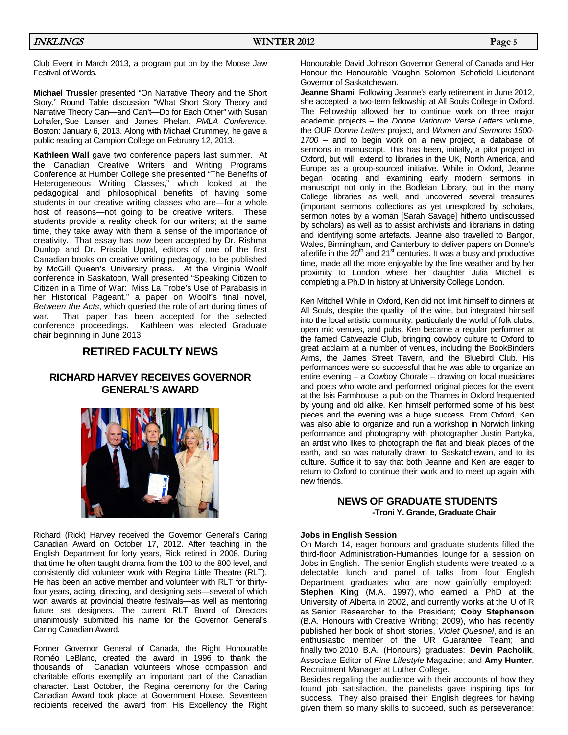Club Event in March 2013, a program put on by the Moose Jaw Festival of Words.

**Michael Trussler** presented "On Narrative Theory and the Short Story." Round Table discussion "What Short Story Theory and Narrative Theory Can—and Can't—Do for Each Other" with Susan Lohafer, Sue Lanser and James Phelan. *PMLA Conference*. Boston: January 6, 2013. Along with Michael Crummey, he gave a public reading at Campion College on February 12, 2013.

**Kathleen Wall** gave two conference papers last summer. At the Canadian Creative Writers and Writing Programs Conference at Humber College she presented "The Benefits of Heterogeneous Writing Classes," which looked at the pedagogical and philosophical benefits of having some students in our creative writing classes who are—for a whole host of reasons-not going to be creative writers. These students provide a reality check for our writers; at the same time, they take away with them a sense of the importance of creativity. That essay has now been accepted by Dr. Rishma Dunlop and Dr. Priscila Uppal, editors of one of the first Canadian books on creative writing pedagogy, to be published by McGill Queen's University press. At the Virginia Woolf conference in Saskatoon, Wall presented "Speaking Citizen to Citizen in a Time of War: Miss La Trobe's Use of Parabasis in her Historical Pageant," a paper on Woolf's final novel, *Between the Acts*, which queried the role of art during times of war. That paper has been accepted for the selected conference proceedings. Kathleen was elected Graduate chair beginning in June 2013.

#### **RETIRED FACULTY NEWS**

#### **RICHARD HARVEY RECEIVES GOVERNOR GENERAL'S AWARD**



Richard (Rick) Harvey received the Governor General's Caring Canadian Award on October 17, 2012. After teaching in the English Department for forty years, Rick retired in 2008. During that time he often taught drama from the 100 to the 800 level, and consistently did volunteer work with Regina Little Theatre (RLT). He has been an active member and volunteer with RLT for thirtyfour years, acting, directing, and designing sets—several of which won awards at provincial theatre festivals—as well as mentoring future set designers. The current RLT Board of Directors unanimously submitted his name for the Governor General's Caring Canadian Award.

Former Governor General of Canada, the Right Honourable Roméo LeBlanc, created the award in 1996 to thank the thousands of Canadian volunteers whose compassion and charitable efforts exemplify an important part of the Canadian character. Last October, the Regina ceremony for the Caring Canadian Award took place at Government House. Seventeen recipients received the award from His Excellency the Right

Honourable David Johnson Governor General of Canada and Her Honour the Honourable Vaughn Solomon Schofield Lieutenant Governor of Saskatchewan.

**Jeanne Shami** Following Jeanne's early retirement in June 2012, she accepted a two-term fellowship at All Souls College in Oxford. The Fellowship allowed her to continue work on three major academic projects – the *Donne Variorum Verse Letters* volume, the OUP *Donne Letters* project, and *Women and Sermons 1500- 1700* – and to begin work on a new project, a database of sermons in manuscript. This has been, initially, a pilot project in Oxford, but will extend to libraries in the UK, North America, and Europe as a group-sourced initiative. While in Oxford, Jeanne began locating and examining early modern sermons in manuscript not only in the Bodleian Library, but in the many College libraries as well, and uncovered several treasures (important sermons collections as yet unexplored by scholars, sermon notes by a woman [Sarah Savage] hitherto undiscussed by scholars) as well as to assist archivists and librarians in dating and identifying some artefacts. Jeanne also travelled to Bangor, Wales, Birmingham, and Canterbury to deliver papers on Donne's afterlife in the  $20<sup>th</sup>$  and 21<sup>st</sup> centuries. It was a busy and productive time, made all the more enjoyable by the fine weather and by her proximity to London where her daughter Julia Mitchell is completing a Ph.D In history at University College London.

Ken Mitchell While in Oxford, Ken did not limit himself to dinners at All Souls, despite the quality of the wine, but integrated himself into the local artistic community, particularly the world of folk clubs, open mic venues, and pubs. Ken became a regular performer at the famed Catweazle Club, bringing cowboy culture to Oxford to great acclaim at a number of venues, including the BookBinders Arms, the James Street Tavern, and the Bluebird Club. His performances were so successful that he was able to organize an entire evening – a Cowboy Chorale – drawing on local musicians and poets who wrote and performed original pieces for the event at the Isis Farmhouse, a pub on the Thames in Oxford frequented by young and old alike. Ken himself performed some of his best pieces and the evening was a huge success. From Oxford, Ken was also able to organize and run a workshop in Norwich linking performance and photography with photographer Justin Partyka, an artist who likes to photograph the flat and bleak places of the earth, and so was naturally drawn to Saskatchewan, and to its culture. Suffice it to say that both Jeanne and Ken are eager to return to Oxford to continue their work and to meet up again with new friends.

#### **NEWS OF GRADUATE STUDENTS -Troni Y. Grande, Graduate Chair**

#### **Jobs in English Session**

On March 14, eager honours and graduate students filled the third-floor Administration-Humanities lounge for a session on Jobs in English. The senior English students were treated to a delectable lunch and panel of talks from four English Department graduates who are now gainfully employed: **Stephen King** (M.A. 1997), who earned a PhD at the University of Alberta in 2002, and currently works at the U of R as Senior Researcher to the President; **Coby Stephenson** (B.A. Honours with Creative Writing; 2009), who has recently published her book of short stories, *Violet Quesnel*, and is an enthusiastic member of the UR Guarantee Team; and finally two 2010 B.A. (Honours) graduates: **Devin Pacholik**, Associate Editor of *Fine Lifestyle* Magazine; and **Amy Hunter**, Recruitment Manager at Luther College.

Besides regaling the audience with their accounts of how they found job satisfaction, the panelists gave inspiring tips for success. They also praised their English degrees for having given them so many skills to succeed, such as perseverance;